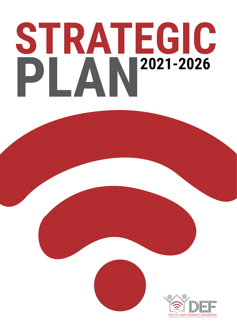# **STRATEGIC PLAN2021-2026**



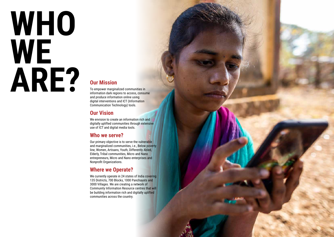### **Our Mission**

To empower marginalized communities in information dark regions to access, consume and produce information online using digital interventions and ICT (Information Communication Technology) tools.

### **Our Vision**

We envision to create an information rich and digitally uplifted communities through extensive use of ICT and digital media tools.

### **Who we serve?**

Our primary objective is to serve the vulnerable and marginalized communities, i.e., Below poverty line, Women, Artisans, Youth, Differently Abled, Elderly, Tribal communities, Micro and Nano entrepreneurs, Micro and Nano enterprises and Nonprofit Organizations.

### **Where we Operate?**

We currently operate in 24 states of India covering 135 Districts, 700 Blocks, 1000 Panchayats and 3000 Villages. We are creating a network of Community Information Resource centres that will be building information rich and digitally uplifted communities across the country.



# **WHO WE ARE?**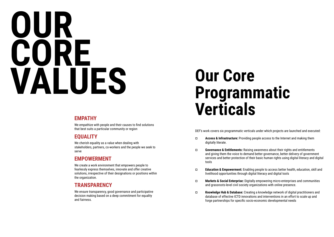# **OUR CORE VALUES Our Core**

## **Programmatic Verticals**

### **EMPATHY**

We empathize with people and their causes to find solutions that best suits a particular community or region

### **EQUALITY**

We cherish equality as a value when dealing with stakeholders, partners, co-workers and the people we seek to serve

### **EMPOWERMENT**

We create a work environment that empowers people to fearlessly express themselves, innovate and offer creative solutions, irrespective of their designations or positions within the organization.

### **TRANSPARENCY**

We ensure transparency, good governance and participative decision making based on a deep commitment for equality and fairness.

DEF's work covers six programmatic verticals under which projects are launched and executed:

¤ **Access & Infrastructure:** Providing people access to the Internet and making them

¤ **Governance & Entitlements:** Raising awareness about their rights and entitlements and giving them the voice to demand better governance, better delivery of government services and better protection of their basic human rights using digital literacy and digital

¤ **Education & Empowerment:** Enabling people to access better health, education, skill and

- digitally literate.
- tools
- livelihood opportunities through digital literacy and digital tools
- and grassroots-level civil society organizations with online presence.
- forge partnerships for specific socio-economic developmental needs

¤ **Markets & Social Enterprise:** Digitally empowering micro-enterprises and communities

¤ **Knowledge Hub & Database:** Creating a knowledge network of digital practitioners and database of effective ICTD innovations and interventions in an effort to scale up and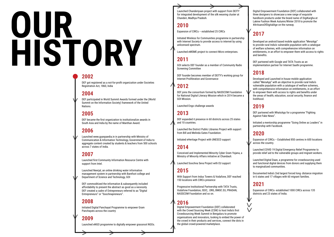### **2002**

DEF got registered as a not-for-profit organization under Societies Registration Act, 1860, India

### **2004**

DEF participated in World Summit Awards formed under the (World Summit on the Information Society) framework of the United Nations.

#### **2005**

DEF became the first organization to institutionalize awards in South Asia and India by the name of Manthan Award.

### **2006**

Launched www.gyanpaedia.in in partnership with Ministry of Communication & Information Technology, Government of India to aggregate content created by students & teachers from 500 schools across 7 states of India.

### **2007**

Launched first Community Information Resource Centre with support from Intel.

Launched Neerjal, an online drinking water information management system in partnership with Barefoot college and Department of Science and Technology, GOI

DEF commoditized the information & subsequently included affordability to present the abstract as good as a necessity. DEF created a cadre of Entrepreneurs referred to as "Digital Entrepreneurs" or "Soochnapreneurs".

### **2008**

Initiated Digital Panchayat Programme to empower Gram Panchayats across the country

### **2009**

Launched eNGO programme to digitally empower grassroot NGOs.

# **OUR HISTORY**

Launched Chanderiyaan project with support from DEITY for integrated development of the silk weaving cluster at Chanderi, Madhya Pradesh.

### **2010**

Expansion of CIRCs – established 25 CIRCs

Initiated Wireless for Communities programme in partnership with Internet Society to provide access to internet by using unlicensed spectrum.

Launched eMSME project to connect Micro enterprises.

### **2011**

GOI selects DEF founder as a member of Community Radio Screening Committee

DEF founder becomes member of DEITY's working group for Internet Proliferation and Governance

### **2012**

DEF joins the consortium formed by NASSCOM Foundation for National Digital Literacy Mission which in 2014 became a GOI Mission.

Launched Engo challenge awards

### **2013**

DEF expanded it presence in 60 districts across 25 states and 10 countries.

Launched the District Public Libraries Project with support from Bill and Melinda Gates Foundation.

Initiated eHeritage Project with UNESCO support

### **2014**

Conceived and Implemented Minority Cyber Gram Yojana, a Ministry of Minority Affairs initiative at Chandauli.

Launched Soochna Seva Project with EU support

### **2015**

With Support from Indus Towers & Vodafone, DEF reached 150 locations with CIRCs presence

Progressive Institutional Partnership with TATA Trusts, Vodafone Foundation, ISOC, .ORG, BMGF, EU, PRADAN, NASSCOM Foundation and so on.

### **2016**

Digital Empowerment Foundation (DEF) collaborated with the Crowd Sourcing Week (CSW) to host India's first Crowdsourcing Week Summit in Bengaluru to promote organisations and innovators, looking to embed the power of the crowd in their products and services, connect the dots in the global crowd-powered marketplace.

Digital Empowerment Foundation (DEF) collaborated with three designers to showcase a new range of exquisite handloom products under the brand name of DigiKargha at Lakme Fashion Week Autumn/Winter 2018 to promote the #ArtisansOfDigitalAge on the runway.

### **2017**

Developed an android based mobile application "MeraApp" to provide rural India's vulnerable population with a catalogue of welfare schemes, with comprehensive information on entitlements, in an effort to empower them with access to rights and benefits.

DEF partnered with Google and TATA Trusts as an implementation partner for Internet Saathi programme.

### **2018**

Developed and Launched in house mobile application called "MeraApp" with an objective to provide rural India's vulnerable population with a catalogue of welfare schemes, with comprehensive information on entitlements, in an effort to empower them with access to rights and benefits under the areas of health, education, social security, finance and livelihood.

### **2019**

DEF partnered with WhatsApp for a programme "Fighting Against Fake News".

Initiated a mentorship programme "Going Online as Leaders" in partnership with Facebook.

### **2020**

Expansion of CIRCs – Established 850 centres in 600 locations across the country.

Launched COVID 19 Digital Emergency Relief Programme to provide relief aid to the vulnerable groups and migrant workers.

Launched Digital Daan, a programme for crowdsourcing used and functional digital devices from donors and supplying them to marginalized communities.

Documented India's 2nd largest forced long- distance migration in 6 states and 17 villages with 60 migrant families.

### **2021**

Expansion of CIRCs- established 1000 CIRCs across 135 districts and 23 states of India.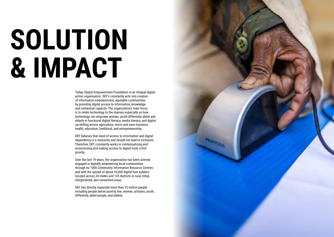Today, Digital Empowerment Foundation is an integral digital action organisation. DEF's constantly acts into creation of information empowerment, equitable communities by providing digital access to information, knowledge and contextual capacity. The organization's main focus is to relate technology to the masses especially on how technology can empower women, youth differently abled and elderly in functional digital literacy, media literacy, and digital up-skilling across agriculture, micro and nano business, health, education, livelihood, and entrepreneurship.

DEF believes that need of access to information and digital dependency is a necessity and should not lead to exclusion. Therefore, DEF constantly works in contextualizing and economizing and making access to digital tools a first priority.

Over the last 19 years, the organization has been actively engaged in digitally empowering local communities through its 1000 Community Information Resource Centres and with the spread of about 10,000 digital foot soldiers located across 24 states and 135 districts in rural, tribal, marginalized, and unreached areas.

DEF has directly impacted more than 15 million people including people below poverty line, women, artisans, youth, differently abled people, and elderly.



## **SOLUTION & IMPACT**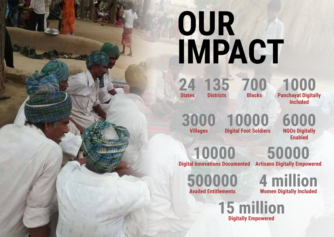# **OUR IMPACT**



**Digitally Empowered**

**States**

**24 700 135 Blocks**

**Districts**

### **3000 10000 Villages Digital Foot Soldiers**

### **4 million Women Digitally Included**

**10000 Digital Innovations Documented Artisans Digitally Empowered**

**500000 Availed Entitlements**

### **50000**

### **6000 NGOs Digitally Enabled**

### **1000 Panchayat Digitally Included**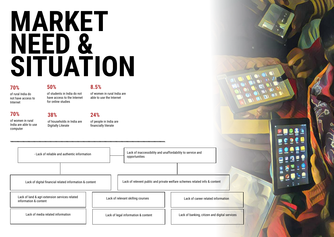## **MARKET NEED & SITUATION**

- Lack of reliable and authentic information **Lack of inaccessibility and unaffordability** to service and opportunities

Lack of digital financial related information & content

Lack of land & agri extension services related information & content

Lack of media related information

Lack of relevant skilling courses Lack of career related information

Lack of legal information & content Lack of banking, citizen and digital services



Lack of relevent public and private welfare schemes related info & content

### **70%**

of rural India do not have access to Internet

### **50%**

of students in India do not have access to the Internet for online studies

**8.5%**

of women in rural India are able to use the Internet

### **70%**

of women in rural India are able to use computer

**38%**

of households in India are Digitally Literate

#### **24%**

of people in India are financially literate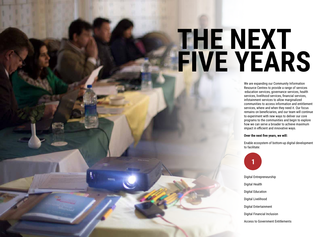## **THE NEXT FIVE YEARS**

We are expanding our Community Information Resource Centres to provide a range of services -education services, governance services, health services, livelihood services, financial services, infotainment services to allow marginalized communities to access information and entitlement services, where and when they need it. Our focus remains on beneficiaries, and our team will continue to experiment with new ways to deliver our core programs to the communities and begin to explore how we can serve a broader to achieve maximum impact in efficient and innovative ways.

#### **Over the next five years, we will:**

Enable ecosystem of bottom-up digital development to facilitate:

- Digital Entrepreneurship
- Digital Health
- Digital Education
- Digital Livelihood
- Digital Entertainment
- Digital Financial Inclusion

Access to Government Entitlements

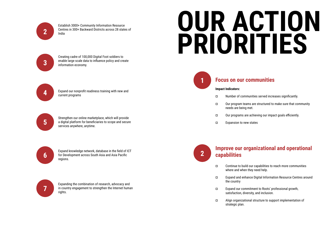Establish 3000+ Community Information Resource Centres in 300+ Backward Districts across 28 states of India

Creating cadre of 100,000 Digital Foot soldiers to enable large scale data to influence policy and create information economy.

Expand our nonprofit readiness training with new and

current programs

Strengthen our online marketplace, which will provide a digital platform for beneficiaries to scope and secure services anywhere, anytime.

Expand knowledge network, database in the field of ICT for Development across South Asia and Asia Pacific regions.

Expanding the combination of research, advocacy and in country engagement to strengthen the Internet human rights.





**4**

**5**



**6**



## **OUR ACTION PRIORITIES**

**1**

**2**

### **Focus on our communities**

### **Improve our organizational and operational**

### **capabilities**

#### **Impact Indicators:**

¤ Number of communities served increases significantly. ¤ Our program teams are structured to make sure that community needs are being met. ¤ Our programs are achieving our impact goals efficiently. ¤ Expansion to new states

¤ Expand and enhance Digital Information Resource Centres around

- ¤ Continue to build our capabilities to reach more communities where and when they need help.
- the country
- ¤ Expand our commitment to Roots' professional growth, satisfaction, diversity, and inclusion.
- ¤ Align organizational structure to support implementation of strategic plan.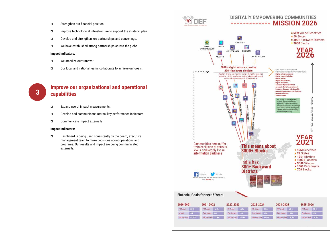- ¤ Strengthen our financial position.
- ¤ Improve technological infrastructure to support the strategic plan.
- ¤ Develop and strengthen key partnerships and convenings.
- ¤ We have established strong partnerships across the globe.

#### **Impact Indicators:**

- ¤ We stabilize our turnover.
- ¤ Our local and national teams collaborate to achieve our goals.



### **3 Improve our organizational and operational <br>
<b>3 Canabilities capabilities**

- ¤ Expand use of impact measurements.
- ¤ Develop and communicate internal key performance indicators.
- ¤ Communicate impact externally

#### **Impact Indicators:**

¤ Dashboard is being used consistently by the board, executive management team to make decisions about operations and programs. Our results and impact are being communicated externally.



| FR Target            | 50Ct |
|----------------------|------|
| Exp. Impact 16M      |      |
| Per ben. cost 31 INR |      |

| FR Target           | 60 Cr | FŘ |
|---------------------|-------|----|
| Exp. Impact         | 20M   |    |
| Per ben, cost 30 HP |       |    |

| FR.Target            | 70Ct |
|----------------------|------|
| Exp. Impact 25M      |      |
| Per ben. cost 28 INR |      |